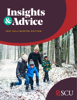# Insights<br>&Advice

## **2021 FALL/WINTER EDITION**

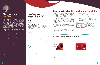# Here's what's happening at SCU



## AGM IS ON MARCH 15

You're invited to our virtual Annual General Meeting (AGM) on Tuesday, March 15. Join us for updates on the 2021 year. We will be sending more details in January, so stay tuned!



## INSIGHTS & ADVICE: TIPS FROM AN EXPERT

Join us online every second Wednesday of the month to hear about a variety of topics, including estate planning, business finance, and tax planning. Visit our website to view the full event calendar and sign up to attend.



## SHARE THE LIGHT

Share the Light is back for another year! Starting in mid-November, we'll be running a contest to award two charities a \$3,500 prize. In the meantime, start thinking about all of the charities working in our communities, and get ready to make a nomination!



## Message from the CEO

Even under normal circumstances, it is very hard to predict what the future will bring. During unprecedented times like this, it is impossible. A year and a half ago, we couldn't have imagined we would still be battling our way through this pandemic. Although things have not returned to normal, throughout the pandemic our number one goal has been to provide a safe environment for our members while helping them along their financial journey.

Recently, we have seen signs that interest rates may start to go up. We can't be certain if they will rise, stay the same, or decrease again. With the uncertainty of when this pandemic will end, there is no telling what the economic forecast is for the next year or two. Together, we can beat this virus and get back to normal.

If asked to describe a healthy portfolio, Manish Kaushal, Associate Vice President Wealth & Steinbach Retail an Mutual Funds Investment Specialist at Credential Asset Management Inc.\*, likes to compare it to gardening.

"You could plant only one type of flower," he says, "but the whole garden could be entirely wiped out by a singl pest." A better approach? Add a variety of plants that have different growth periods, appearances, and type of resilience.

The same holds true for building your portfolio, especial during periods of volatility. A healthy and diverse portfoli includes:

While some things remain uncertain, one thing we can confidently predict is that digital is the future. Digital banking will continue to impact the competitive landscape of financial institutions, and we expect to see Payments Canada modernize payments, allowing you to process transactions in real time. Open banking is also on the horizon. This technology will offer more flexibility in sharing banking data and allow you to see a complete picture of all your financial data. As open banking progresses, our priority is to continue finding ways to improve our digital offering for our members.

- $\cdot$  A mix of stocks, bonds, and money market instrument
- Mutual funds that combine different types of securities with different investment styles like growth or value

Finally, I want to remind you that as technology develops, so does cybercrime. Protecting your information is our top priority, and the first step is to provide you with the education and resources you need to recognize and stop fraud. You can learn more by visiting our fraud prevention centre at **[scu.mb.ca/fraudprevention](http://scu.mb.ca/fraudprevention)**.

All the best, Glenn Friesen, CEO

# Best practices for diversifying your portfolio

| dI,<br>١d<br>et      | $\cdot$ A mix of different industries, rather than focusing too<br>much on a single sector (such as technology)                                                                                                                                |
|----------------------|------------------------------------------------------------------------------------------------------------------------------------------------------------------------------------------------------------------------------------------------|
|                      | · Investments from a variety of geographic areas and<br>currencies (international stocks)                                                                                                                                                      |
| ut<br>le<br>at<br>ЭS | A combination of savings and investment products<br>held as variable savings or GICs in RRSPs, TFSAs, or<br>non-registered products                                                                                                            |
|                      |                                                                                                                                                                                                                                                |
| lly<br>io            | Ready to evaluate your own portfolio? Our wealth<br>advisors can help you take the next step toward<br>making the most of your investments. Get in touch by<br>calling 1.800.728.6440, or fill our contact form at<br>scu.mb.ca/wealth/contact |
| ts                   |                                                                                                                                                                                                                                                |
| <b>SS</b>            |                                                                                                                                                                                                                                                |
|                      |                                                                                                                                                                                                                                                |



# Credit cards made simple

Enjoy the simplicity of an SCU Collabria® credit card, with rewards poi nts that are easy to redeem. Whether you prefer to collect points, get cash back, pay less interest, or enjoy the added benefits of a card with an annual fee — the choice is yours.



## **SCU Collabria Cash Back Mastercard®&**

Whether you're filling up the car, dining out with friends, getting a haircut, or seeing the latest movie in a theatre, it all adds up to valuable cash back. Collect valuable reward points on the purchases you make on a regular basis — without breaking the budget on high fees or interest rates.

## **SCU Collabria Centra Visa\*\* Gold Card**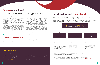The first thing to do when deciding between debt repayment or saving is to look at the interest rate on your debt. In today's low interest rate market, you may be earning less interest on your deposits, but you have the opportunity to pay down debt faster with a lower lending rate.

"If you're paying higher rates, typically, you want to pay those off," said Nicole McAllister, Branch Manager of SCU's Lagimodiere location. High interest rates, such as those on credit cards, can keep you trapped in an expensive cycle of high minimum payments that mostly cover the interest, but don't do anything to reduce the principal. Once the balances are down to zero, do everything you can to keep them there — and put that money to work somewhere else.

That's where the one-size-fits-all advice ends. Because apart from tackling high interest rates, the choice between saving and paying down debt depends on your

## Beneficiary review

Often, this is the time of year when people re-evaluate their investments, which also makes it a good time to review designated beneficiaries.

CAUTION: Your designation of beneficiary by means of a designation form will not be revoked or changed automatically by any future marriage or divorce. Should you wish to change your beneficiary in the event of a future marriage or divorce, you will have to do so by means of a new designation.

Call us today at **1.800.728.6440** if you have any questions or visit any SCU branch to make changes.

## If you're paying higher rates, typically, you want to pay those off.

# Save up or pay down?

# Social engineering: Fraud at work

situation, your priorities, your goals, and the timelines you're working with. There's no doubt that young investors should begin contributing to long-term savings plans as early as possible to maximize the time their money spends in the market. However, the pandemic has served as a reminder that everyone can benefit from building their savings in order to prepare for the unexpected.

The answer lies in what's important to you. "This is a question we regularly ask our members," said McAllister. "In five years, are you going to be talking about how you're happy that you paid off your mortgage? Or will you be worried you haven't put away enough to retire?" It may be helpful to sit down with an advisor to organize your goals and priorities.

Still feeling unsure or overwhelmed? Take a deep breath and consider asking for help.

"Taking your unique factors into consideration, one of our advisors can walk you through your options and guide you through these decisions," said McAllister. "Contacting an advisor will help you build a plan to ensure you're on track to achieve your financial goals."

One of the most frequent questions to arise in personal finance is how to decide between saving money and paying down debt. The options seem equally important, and they are! Social engineering is when scammers manipulate people into giving

confidential information or money. Whether by phone, email, text, or in person, social engineering can come in many forms. The more you know, the better you can protect yourself, your information, and your privacy.

- Reject requests for help from people you don't know, or responses to questions you never asked.
- Set your email spam filters to high, and don't click any links that seem too good to be true.
- When in doubt, get a second opinion. If you suspect fraudulent activity, call us at **1.800.728.6440**.
- Learn about common scams and how to prevent them at **[scu.mb.ca/fraudprevention/commonscams](http://scu.mb.ca/fraudprevention/commonscams)**.

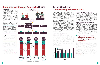### WHAT ARE THE BENEFITS OF THIS STRATEGY? **You'll earn more interest in the long run**

If you've looked into investing in a Guaranteed Investmer Certificate (GIC), you'll know they're a low-risk investmer option that usually offers a more competitive rate tha a Regular Savings account. In order to capitalize on the best rate, you need to lock your money in for the long haul — typically five years. But is it beneficial to lock in funds in today's low interest rate market? **Money is still accessible when you need it** stances ou may at some point. Deposit laddering keeps the ball in your court by giving you access to one fifth of your investments each year, without any penalties or costs. In addition, if you are living off the interest from your GIC portfolio, you can also

With current interest rates, and assuming rates remain unchanged, there is an approximately 45% difference in return within five years between GIC laddering and investing the lump-sum in your variable savings. That's because when you consider the actual interest earned year-over-year the laddering strategy earns the average rate across all five terms. For example, based on the rates as of November 1, 2021, in the first year, your money will earn 1.40% interest compared to an average 1.00% rate for a variable savings account.

With a strategy called deposit laddering, it can be. Instead of waiting for interest rates to rise, deposit laddering allows you to enjoy the benefit of a higher rate while accessing part of your money each year. The concept is simple divide your total investment dollars by five, and deposit these smaller amounts into each of the one to five-year GICs that we offer. As each term matures, you can either choose to lock it in for another five years, or another term of your choice. That way, you'll have a GIC that matures every year, giving you the option to access some of the money, reinvest what you have, or even add more funds to the maturing GIC. structure cash flow to meet your specific needs. **You're not as affected by the ups and downs of the market** Deposit ladders minimize the impact of rate fluctuations, but also allow you to stay current with market trends. Variable savings accounts will fluctuate, and even if you hold a single GIC, you're limited to investing at whichever rate is offered when your investment matures. With deposit laddering, you don't need to guess where interest rates are going. If rates go up, you will always have money coming due every year to take advantage of the rising rates. If rates go down, you benefit by having money invested for a higher rate in a longer term.

## **It's a low-risk, secured investment**

GICs are low risk because they offer a locked-in rate that is solely dependent on the length of term that you've chosen. In addition, at SCU, all deposits are guaranteed 100% by the Deposit Guarantee Corporation of Manitoba\*\*\*.

#### ons at:  $\overline{a}$  your own numbers at:  $\overline{a}$ *See back for requirements and conditions*

If you're looking for a low-risk investment strategy, deposit laddering is a great way to maximize your savings in a low interest market. We can help you build a savings strategy that works best for you. Call us at **1.800.728.6440** or fill out a contact form at **[scu.mb.ca/mysavings](http://scu.mb.ca/mysavings)** to discuss your next steps.

# Deposit laddering: A smarter way to invest in GICs

# Build a secure financial future with RDSPs

## "Deposit ladders minimize the impact of rate fluctuations, but also allow you to stay current with market trends."



| ht    | Money is still accessible when you need it            |
|-------|-------------------------------------------------------|
| nt. I | No one can predict the future. Your financial circums |
| n     | and savings goals will change over time, and you      |
| ιe    | need to access some of the funds in your GIC a        |



## **What is an RDSP?**

A Registered Disability Savings Plan (RDSP) is a government-supported savings plan that's like a pension plan for individuals living with a disability.

The government will boost your savings through the Canada Disability Savings Grant and the Canada Disability Savings Bond until the age of 49, but you can continue to contribute until you turn 59.

Our RDSPs are available in a variety of savings vehicles, including variable savings, GICs, and mutual funds\* .

**Did you know?** There is no requirement to deposit a lump sum when you open an RDSP. Small, or large, or none at all, it's up to you!

**Did you know?** Up until the age of 18, government grant and bond contributions are based on the income of the beneficiary's parents. At 19, these contributions switch to be based on the income of the beneficiary.

**Did you know?** Whether you contribute a little or a lot, the earlier you open an RDSP, the longer time your investment has to grow.

Learn more about RDSPs, or run your own numbers, at **[scu.mb.ca/rdsp](http://scu.mb.ca/rdsp)**. To talk about opening an RDSP or for more information, call us **1.800.728.6440**.